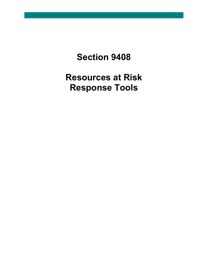**Section 9408**

**Resources at Risk Response Tools**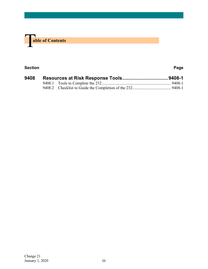

#### **Section Page**

| 9408 |  |  |  |
|------|--|--|--|
|      |  |  |  |
|      |  |  |  |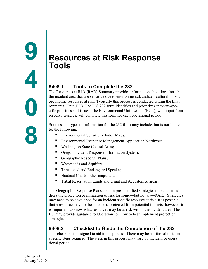# <span id="page-2-1"></span><span id="page-2-0"></span>**Resources at Risk Response Tools**

## <span id="page-2-2"></span>**9408.1 Tools to Complete the 232**

The Resources at Risk (RAR) Summary provides information about locations in the incident area that are sensitive due to environmental, archaeo-cultural, or socioeconomic resources at risk. Typically this process is conducted within the Environmental Unit (EU). The ICS 232 form identifies and prioritizes incident-specific priorities and issues. The Environmental Unit Leader (EUL), with input from resource trustees, will complete this form for each operational period.

Sources and types of information for the 232 form may include, but is not limited to, the following:

- Environmental Sensitivity Index Maps;
- Environmental Response Management Application Northwest;
- Washington State Coastal Atlas;
- Oregon Incident Response Information System;
- Geographic Response Plans;
- Watersheds and Aquifers;
- Threatened and Endangered Species;
- Nautical Charts, other maps; and
- Tribal Reservation Lands and Usual and Accustomed areas.

The Geographic Response Plans contain pre-identified strategies or tactics to address the protection or mitigation of risk for some—but not all—RAR. Strategies may need to be developed for an incident specific resource at risk. It is possible that a resource may not be able to be protected from potential impacts; however, it is important to know what resources may be at risk within the incident area. The EU may provide guidance to Operations on how to best implement protection strategies.

# <span id="page-2-3"></span>**9408.2 Checklist to Guide the Completion of the 232**

This checklist is designed to aid in the process. There may be additional incident specific steps required. The steps in this process may vary by incident or operational period.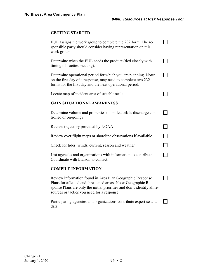### **GETTING STARTED**

| EUL assigns the work group to complete the 232 form. The re-<br>sponsible party should consider having representation on this<br>work group.                                                                                                         |                          |  |  |  |
|------------------------------------------------------------------------------------------------------------------------------------------------------------------------------------------------------------------------------------------------------|--------------------------|--|--|--|
| Determine when the EUL needs the product (tied closely with<br>timing of Tactics meeting).                                                                                                                                                           |                          |  |  |  |
| Determine operational period for which you are planning. Note:<br>on the first day of a response, may need to complete two 232<br>forms for the first day and the next operational period.                                                           |                          |  |  |  |
| Locate map of incident area of suitable scale.                                                                                                                                                                                                       |                          |  |  |  |
| <b>GAIN SITUATIONAL AWARENESS</b>                                                                                                                                                                                                                    |                          |  |  |  |
| Determine volume and properties of spilled oil: Is discharge con-<br>trolled or on-going?                                                                                                                                                            |                          |  |  |  |
| Review trajectory provided by NOAA                                                                                                                                                                                                                   |                          |  |  |  |
| Review over flight maps or shoreline observations if available.                                                                                                                                                                                      |                          |  |  |  |
| Check for tides, winds, current, season and weather                                                                                                                                                                                                  | $\overline{\phantom{0}}$ |  |  |  |
| List agencies and organizations with information to contribute.<br>Coordinate with Liaison to contact.                                                                                                                                               |                          |  |  |  |
| <b>COMPILE INFORMATION</b>                                                                                                                                                                                                                           |                          |  |  |  |
| Review information found in Area Plan Geographic Response<br>Plans for affected and threatened areas. Note: Geographic Re-<br>sponse Plans are only the initial priorities and don't identify all re-<br>sources or tactics you need for a response. |                          |  |  |  |
|                                                                                                                                                                                                                                                      |                          |  |  |  |

data.